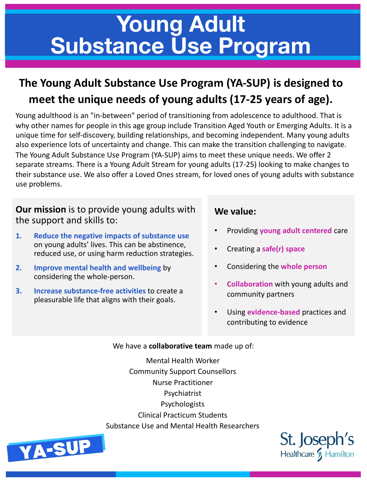## **Young Adult Substance Use Program**

### **The Young Adult Substance Use Program (YA-SUP) is designed to meet the unique needs of young adults (17-25 years of age).**

Young adulthood is an "in-between" period of transitioning from adolescence to adulthood. That is why other names for people in this age group include Transition Aged Youth or Emerging Adults. It is a unique time for self-discovery, building relationships, and becoming independent. Many young adults also experience lots of uncertainty and change. This can make the transition challenging to navigate. The Young Adult Substance Use Program (YA-SUP) aims to meet these unique needs. We offer 2 separate streams. There is a Young Adult Stream for young adults (17-25) looking to make changes to their substance use. We also offer a Loved Ones stream, for loved ones of young adults with substance use problems.

#### **Our mission** is to provide young adults with the support and skills to:

- **1. Reduce the negative impacts of substance use**  on young adults' lives. This can be abstinence, reduced use, or using harm reduction strategies.
- **2. Improve mental health and wellbeing** by considering the whole-person.
- **3. Increase substance-free activities** to create a pleasurable life that aligns with their goals.

#### **We value:**

- Providing **young adult centered** care
- Creating a **safe(r) space**
- Considering the **whole person**
- **Collaboration** with young adults and community partners
- Using **evidence-based** practices and contributing to evidence

#### We have a **collaborative team** made up of:

\_Mental Health Worker Community Support Counsellors Nurse Practitioner Psychiatrist Psychologists Clinical Practicum Students Substance Use and Mental Health Researchers



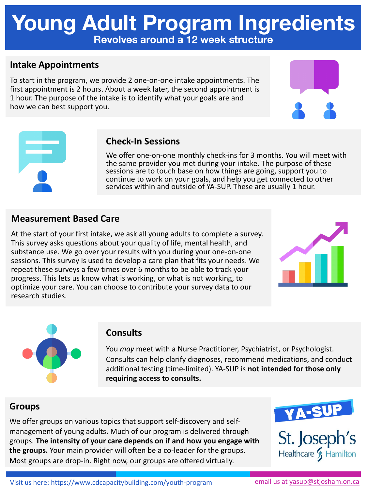### **Young Adult Program Ingredients Revolves around a 12 week structure**

#### **Intake Appointments**

To start in the program, we provide 2 one-on-one intake appointments. The first appointment is 2 hours. About a week later, the second appointment is 1 hour. The purpose of the intake is to identify what your goals are and how we can best support you.





#### **Check-In Sessions**

We offer one-on-one monthly check-ins for 3 months. You will meet with the same provider you met during your intake. The purpose of these sessions are to touch base on how things are going, support you to continue to work on your goals, and help you get connected to other services within and outside of YA-SUP. These are usually 1 hour.

#### **Measurement Based Care**

At the start of your first intake, we ask all young adults to complete a survey. This survey asks questions about your quality of life, mental health, and substance use. We go over your results with you during your one-on-one sessions. This survey is used to develop a care plan that fits your needs. We repeat these surveys a few times over 6 months to be able to track your progress. This lets us know what is working, or what is not working, to optimize your care. You can choose to contribute your survey data to our research studies.





#### **Consults**

You *may* meet with a Nurse Practitioner, Psychiatrist, or Psychologist. Consults can help clarify diagnoses, recommend medications, and conduct additional testing (time-limited). YA-SUP is **not intended for those only requiring access to consults.**

#### **Groups**

We offer groups on various topics that support self-discovery and selfmanagement of young adults**.** Much of our program is delivered through groups. **The intensity of your care depends on if and how you engage with the groups.** Your main provider will often be a co-leader for the groups. Most groups are drop-in. Right now, our groups are offered virtually.

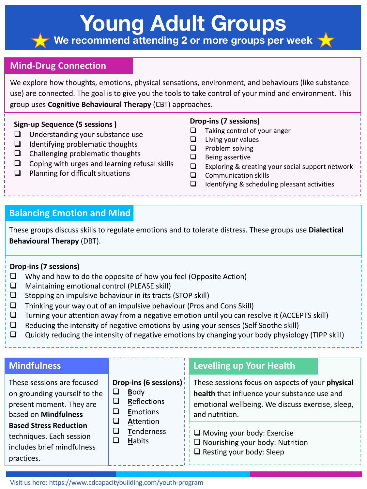**Young Adult Groups We recommend attending 2 or more groups per week** 

#### **Mind-Drug Connection**

We explore how thoughts, emotions, physical sensations, environment, and behaviours (like substance use) are connected. The goal is to give you the tools to take control of your mind and environment. This group uses **Cognitive Behavioural Therapy** (CBT) approaches.

#### **Sign-up Sequence (5 sessions )**

- $\Box$  Understanding your substance use
- $\Box$  Identifying problematic thoughts
- $\Box$  Challenging problematic thoughts
- $\Box$  Coping with urges and learning refusal skills
- $\Box$  Planning for difficult situations

#### **Drop-ins (7 sessions)**

- $\Box$  Taking control of your anger
- $\Box$  Living your values
- $\Box$  Problem solving
- $\Box$  Being assertive
- $\Box$  Exploring & creating your social support network
- $\Box$  Communication skills
- $\Box$  Identifying & scheduling pleasant activities

#### **Balancing Emotion and Mind**

These groups discuss skills to regulate emotions and to tolerate distress. These groups use **Dialectical Behavioural Therapy** (DBT).

#### **Drop-ins (7 sessions)**

- $\Box$  Why and how to do the opposite of how you feel (Opposite Action)
- $\Box$  Maintaining emotional control (PLEASE skill)
- $\Box$  Stopping an impulsive behaviour in its tracts (STOP skill)
- $\Box$  Thinking your way out of an impulsive behaviour (Pros and Cons Skill)
- $\Box$  Turning your attention away from a negative emotion until you can resolve it (ACCEPTS skill)
- $\Box$  Reducing the intensity of negative emotions by using your senses (Self Soothe skill)
- $\Box$  Quickly reducing the intensity of negative emotions by changing your body physiology (TIPP skill)

#### **Mindfulness**

practices.

These sessions are focused on grounding yourself to the present moment. They are based on **Mindfulness Based Stress Reduction**  techniques. Each session includes brief mindfulness

#### **Drop-ins (6 sessions)**

- q **B**ody
- **Q** Reflections
- q **E**motions
- **Q** Attention
- **q** Tenderness
- q **H**abits

#### **Levelling up Your Health**

These sessions focus on aspects of your **physical health** that influence your substance use and emotional wellbeing. We discuss exercise, sleep, and nutrition.

- $\Box$  Moving your body: Exercise
- $\Box$  Nourishing your body: Nutrition
- $\Box$  Resting your body: Sleep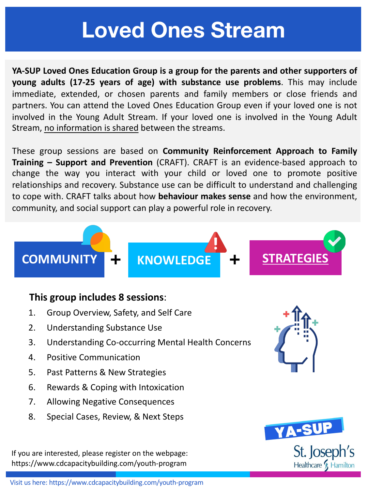# **Loved Ones Stream**

**YA-SUP Loved Ones Education Group is a group for the parents and other supporters of young adults (17-25 years of age) with substance use problems**. This may include immediate, extended, or chosen parents and family members or close friends and partners. You can attend the Loved Ones Education Group even if your loved one is not involved in the Young Adult Stream. If your loved one is involved in the Young Adult Stream, no information is shared between the streams.

These group sessions are based on **Community Reinforcement Approach to Family Training – Support and Prevention** (CRAFT). CRAFT is an evidence-based approach to change the way you interact with your child or loved one to promote positive relationships and recovery. Substance use can be difficult to understand and challenging to cope with. CRAFT talks about how **behaviour makes sense** and how the environment, community, and social support can play a powerful role in recovery.



#### **This group includes 8 sessions**:

- 1. Group Overview, Safety, and Self Care
- 2. Understanding Substance Use
- 3. Understanding Co-occurring Mental Health Concerns
- 4. Positive Communication
- 5. Past Patterns & New Strategies
- 6. Rewards & Coping with Intoxication
- 7. Allowing Negative Consequences
- 8. Special Cases, Review, & Next Steps

If you are interested, please register on the webpage: https://www.cdcapacitybuilding.com/youth-program



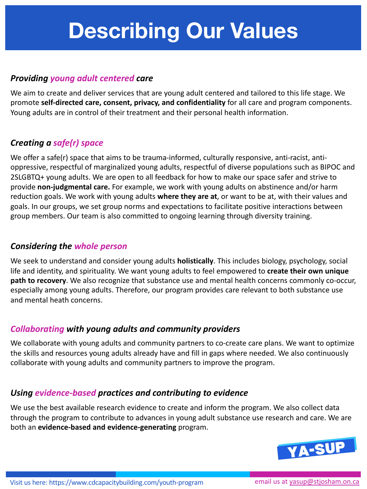# **Describing Our Values**

#### *Providing young adult centered care*

We aim to create and deliver services that are young adult centered and tailored to this life stage. We promote **self-directed care, consent, privacy, and confidentiality** for all care and program components. Young adults are in control of their treatment and their personal health information.

#### *Creating a safe(r) space*

We offer a safe(r) space that aims to be trauma-informed, culturally responsive, anti-racist, antioppressive, respectful of marginalized young adults, respectful of diverse populations such as BIPOC and 2SLGBTQ+ young adults. We are open to all feedback for how to make our space safer and strive to provide **non-judgmental care.** For example, we work with young adults on abstinence and/or harm reduction goals. We work with young adults **where they are at**, or want to be at, with their values and goals. In our groups, we set group norms and expectations to facilitate positive interactions between group members. Our team is also committed to ongoing learning through diversity training.

#### *Considering the whole person*

We seek to understand and consider young adults **holistically**. This includes biology, psychology, social life and identity, and spirituality. We want young adults to feel empowered to **create their own unique path to recovery**. We also recognize that substance use and mental health concerns commonly co-occur, especially among young adults. Therefore, our program provides care relevant to both substance use and mental heath concerns.

#### *Collaborating with young adults and community providers*

We collaborate with young adults and community partners to co-create care plans. We want to optimize the skills and resources young adults already have and fill in gaps where needed. We also continuously collaborate with young adults and community partners to improve the program.

#### *Using evidence-based practices and contributing to evidence*

We use the best available research evidence to create and inform the program. We also collect data through the program to contribute to advances in young adult substance use research and care. We are both an **evidence-based and evidence-generating** program.